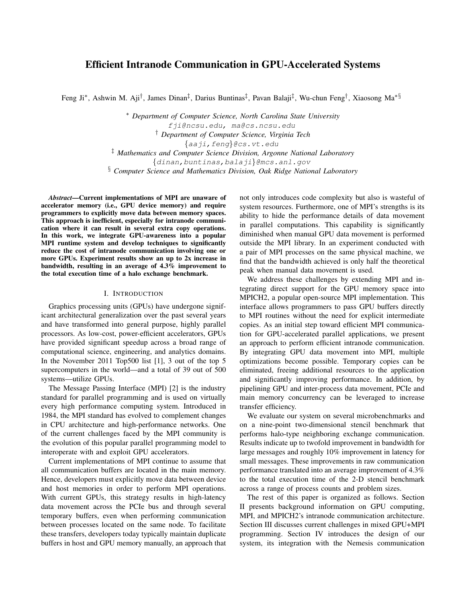# Efficient Intranode Communication in GPU-Accelerated Systems

Feng Ji\*, Ashwin M. Aji<sup>†</sup>, James Dinan<sup>‡</sup>, Darius Buntinas<sup>‡</sup>, Pavan Balaji<sup>‡</sup>, Wu-chun Feng<sup>†</sup>, Xiaosong Ma<sup>∗§</sup>

<sup>∗</sup> *Department of Computer Science, North Carolina State University* fji@ncsu.edu, ma@cs.ncsu.edu † *Department of Computer Science, Virginia Tech* {aaji,feng}@cs.vt.edu ‡ *Mathematics and Computer Science Division, Argonne National Laboratory* {dinan,buntinas,balaji}@mcs.anl.gov § *Computer Science and Mathematics Division, Oak Ridge National Laboratory*

*Abstract*—Current implementations of MPI are unaware of accelerator memory (i.e., GPU device memory) and require programmers to explicitly move data between memory spaces. This approach is inefficient, especially for intranode communication where it can result in several extra copy operations. In this work, we integrate GPU-awareness into a popular MPI runtime system and develop techniques to significantly reduce the cost of intranode communication involving one or more GPUs. Experiment results show an up to 2x increase in bandwidth, resulting in an average of 4.3% improvement to the total execution time of a halo exchange benchmark.

### I. INTRODUCTION

Graphics processing units (GPUs) have undergone significant architectural generalization over the past several years and have transformed into general purpose, highly parallel processors. As low-cost, power-efficient accelerators, GPUs have provided significant speedup across a broad range of computational science, engineering, and analytics domains. In the November 2011 Top500 list [1], 3 out of the top 5 supercomputers in the world—and a total of 39 out of 500 systems—utilize GPUs.

The Message Passing Interface (MPI) [2] is the industry standard for parallel programming and is used on virtually every high performance computing system. Introduced in 1984, the MPI standard has evolved to complement changes in CPU architecture and high-performance networks. One of the current challenges faced by the MPI community is the evolution of this popular parallel programming model to interoperate with and exploit GPU accelerators.

Current implementations of MPI continue to assume that all communication buffers are located in the main memory. Hence, developers must explicitly move data between device and host memories in order to perform MPI operations. With current GPUs, this strategy results in high-latency data movement across the PCIe bus and through several temporary buffers, even when performing communication between processes located on the same node. To facilitate these transfers, developers today typically maintain duplicate buffers in host and GPU memory manually, an approach that not only introduces code complexity but also is wasteful of system resources. Furthermore, one of MPI's strengths is its ability to hide the performance details of data movement in parallel computations. This capability is significantly diminished when manual GPU data movement is performed outside the MPI library. In an experiment conducted with a pair of MPI processes on the same physical machine, we find that the bandwidth achieved is only half the theoretical peak when manual data movement is used.

We address these challenges by extending MPI and integrating direct support for the GPU memory space into MPICH2, a popular open-source MPI implementation. This interface allows programmers to pass GPU buffers directly to MPI routines without the need for explicit intermediate copies. As an initial step toward efficient MPI communication for GPU-accelerated parallel applications, we present an approach to perform efficient intranode communication. By integrating GPU data movement into MPI, multiple optimizations become possible. Temporary copies can be eliminated, freeing additional resources to the application and significantly improving performance. In addition, by pipelining GPU and inter-process data movement, PCIe and main memory concurrency can be leveraged to increase transfer efficiency.

We evaluate our system on several microbenchmarks and on a nine-point two-dimensional stencil benchmark that performs halo-type neighboring exchange communication. Results indicate up to twofold improvement in bandwidth for large messages and roughly 10% improvement in latency for small messages. These improvements in raw communication performance translated into an average improvement of 4.3% to the total execution time of the 2-D stencil benchmark across a range of process counts and problem sizes.

The rest of this paper is organized as follows. Section II presents background information on GPU computing, MPI, and MPICH2's intranode communication architecture. Section III discusses current challenges in mixed GPU+MPI programming. Section IV introduces the design of our system, its integration with the Nemesis communication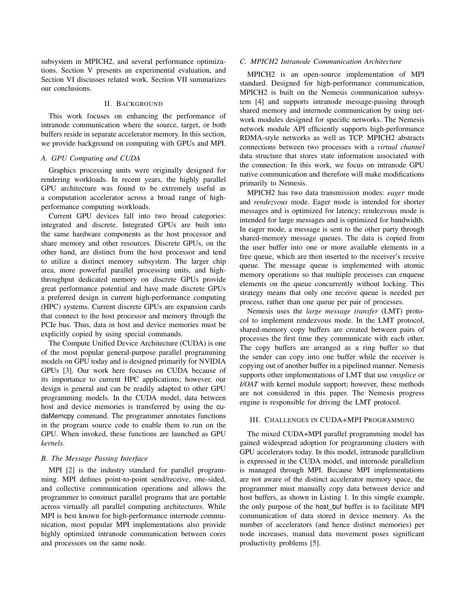subsystem in MPICH2, and several performance optimizations. Section V presents an experimental evaluation, and Section VI discusses related work. Section VII summarizes our conclusions.

### II. BACKGROUND

This work focuses on enhancing the performance of intranode communication where the source, target, or both buffers reside in separate accelerator memory. In this section, we provide background on computing with GPUs and MPI.

### *A. GPU Computing and CUDA*

Graphics processing units were originally designed for rendering workloads. In recent years, the highly parallel GPU architecture was found to be extremely useful as a computation accelerator across a broad range of highperformance computing workloads.

Current GPU devices fall into two broad categories: integrated and discrete. Integrated GPUs are built into the same hardware components as the host processor and share memory and other resources. Discrete GPUs, on the other hand, are distinct from the host processor and tend to utilize a distinct memory subsystem. The larger chip area, more powerful parallel processing units, and highthroughput dedicated memory on discrete GPUs provide great performance potential and have made discrete GPUs a preferred design in current high-performance computing (HPC) systems. Current discrete GPUs are expansion cards that connect to the host processor and memory through the PCIe bus. Thus, data in host and device memories must be explicitly copied by using special commands.

The Compute Unified Device Architecture (CUDA) is one of the most popular general-purpose parallel programming models on GPU today and is designed primarily for NVIDIA GPUs [3]. Our work here focuses on CUDA because of its importance to current HPC applications; however, our design is general and can be readily adapted to other GPU programming models. In the CUDA model, data between host and device memories is transferred by using the cudaMemcpy command. The programmer annotates functions in the program source code to enable them to run on the GPU. When invoked, these functions are launched as GPU *kernels*.

# *B. The Message Passing Interface*

MPI [2] is the industry standard for parallel programming. MPI defines point-to-point send/receive, one-sided, and collective communication operations and allows the programmer to construct parallel programs that are portable across virtually all parallel computing architectures. While MPI is best known for high-performance internode communication, most popular MPI implementations also provide highly optimized intranode communication between cores and processors on the same node.

### *C. MPICH2 Intranode Communication Architecture*

MPICH2 is an open-source implementation of MPI standard. Designed for high-performance communication, MPICH2 is built on the Nemesis communication subsystem [4] and supports intranode message-passing through shared memory and internode communication by using network modules designed for specific networks. The Nemesis network module API efficiently supports high-performance RDMA-style networks as well as TCP. MPICH2 abstracts connections between two processes with a *virtual channel* data structure that stores state information associated with the connection. In this work, we focus on intranode GPU native communication and therefore will make modifications primarily to Nemesis.

MPICH2 has two data transmission modes: *eager* mode and *rendezvous* mode. Eager mode is intended for shorter messages and is optimized for latency; rendezvous mode is intended for large messages and is optimized for bandwidth. In eager mode, a message is sent to the other party through shared-memory message queues. The data is copied from the user buffer into one or more available elements in a free queue, which are then inserted to the receiver's receive queue. The message queue is implemented with atomic memory operations so that multiple processes can enqueue elements on the queue concurrently without locking. This strategy means that only one receive queue is needed per process, rather than one queue per pair of processes.

Nemesis uses the *large message transfer* (LMT) protocol to implement rendezvous mode. In the LMT protocol, shared-memory copy buffers are created between pairs of processes the first time they communicate with each other. The copy buffers are arranged as a ring buffer so that the sender can copy into one buffer while the receiver is copying out of another buffer in a pipelined manner. Nemesis supports other implementations of LMT that use *vmsplice* or *I/OAT* with kernel module support; however, these methods are not considered in this paper. The Nemesis progress engine is responsible for driving the LMT protocol.

# III. CHALLENGES IN CUDA+MPI PROGRAMMING

The mixed CUDA+MPI parallel programming model has gained widespread adoption for programming clusters with GPU accelerators today. In this model, intranode parallelism is expressed in the CUDA model, and internode parallelism is managed through MPI. Because MPI implementations are not aware of the distinct accelerator memory space, the programmer must manually copy data between device and host buffers, as shown in Listing 1. In this simple example, the only purpose of the host buf buffer is to facilitate MPI communication of data stored in device memory. As the number of accelerators (and hence distinct memories) per node increases, manual data movement poses significant productivity problems [5].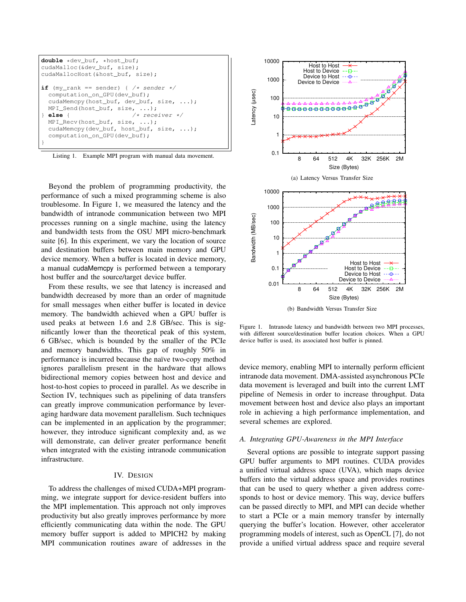

Listing 1. Example MPI program with manual data movement.

Beyond the problem of programming productivity, the performance of such a mixed programming scheme is also troublesome. In Figure 1, we measured the latency and the bandwidth of intranode communication between two MPI processes running on a single machine, using the latency and bandwidth tests from the OSU MPI micro-benchmark suite [6]. In this experiment, we vary the location of source and destination buffers between main memory and GPU device memory. When a buffer is located in device memory, a manual cudaMemcpy is performed between a temporary host buffer and the source/target device buffer.

From these results, we see that latency is increased and bandwidth decreased by more than an order of magnitude for small messages when either buffer is located in device memory. The bandwidth achieved when a GPU buffer is used peaks at between 1.6 and 2.8 GB/sec. This is significantly lower than the theoretical peak of this system, 6 GB/sec, which is bounded by the smaller of the PCIe and memory bandwidths. This gap of roughly 50% in performance is incurred because the naïve two-copy method ignores parallelism present in the hardware that allows bidirectional memory copies between host and device and host-to-host copies to proceed in parallel. As we describe in Section IV, techniques such as pipelining of data transfers can greatly improve communication performance by leveraging hardware data movement parallelism. Such techniques can be implemented in an application by the programmer; however, they introduce significant complexity and, as we will demonstrate, can deliver greater performance benefit when integrated with the existing intranode communication infrastructure.

# IV. DESIGN

To address the challenges of mixed CUDA+MPI programming, we integrate support for device-resident buffers into the MPI implementation. This approach not only improves productivity but also greatly improves performance by more efficiently communicating data within the node. The GPU memory buffer support is added to MPICH2 by making MPI communication routines aware of addresses in the



Figure 1. Intranode latency and bandwidth between two MPI processes, with different source/destination buffer location choices. When a GPU device buffer is used, its associated host buffer is pinned.

device memory, enabling MPI to internally perform efficient intranode data movement. DMA-assisted asynchronous PCIe data movement is leveraged and built into the current LMT pipeline of Nemesis in order to increase throughput. Data movement between host and device also plays an important role in achieving a high performance implementation, and several schemes are explored.

# *A. Integrating GPU-Awareness in the MPI Interface*

Several options are possible to integrate support passing GPU buffer arguments to MPI routines. CUDA provides a unified virtual address space (UVA), which maps device buffers into the virtual address space and provides routines that can be used to query whether a given address corresponds to host or device memory. This way, device buffers can be passed directly to MPI, and MPI can decide whether to start a PCIe or a main memory transfer by internally querying the buffer's location. However, other accelerator programming models of interest, such as OpenCL [7], do not provide a unified virtual address space and require several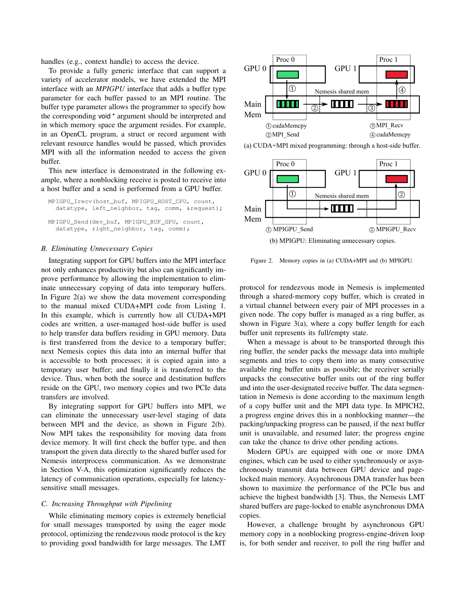handles (e.g., context handle) to access the device.

To provide a fully generic interface that can support a variety of accelerator models, we have extended the MPI interface with an *MPIGPU* interface that adds a buffer type parameter for each buffer passed to an MPI routine. The buffer type parameter allows the programmer to specify how the corresponding void \* argument should be interpreted and in which memory space the argument resides. For example, in an OpenCL program, a struct or record argument with relevant resource handles would be passed, which provides MPI with all the information needed to access the given buffer.

This new interface is demonstrated in the following example, where a nonblocking receive is posted to receive into a host buffer and a send is performed from a GPU buffer.

MPIGPU Irecv(host buf, MPIGPU HOST CPU, count, datatype, left\_neighbor, tag, comm, &request); MPIGPU\_Send(dev\_buf, MPIGPU\_BUF\_GPU, count, datatype, right\_neighbor, tag, comm);

#### *B. Eliminating Unnecessary Copies*

Integrating support for GPU buffers into the MPI interface not only enhances productivity but also can significantly improve performance by allowing the implementation to eliminate unnecessary copying of data into temporary buffers. In Figure  $2(a)$  we show the data movement corresponding to the manual mixed CUDA+MPI code from Listing 1. In this example, which is currently how all CUDA+MPI codes are written, a user-managed host-side buffer is used to help transfer data buffers residing in GPU memory. Data is first transferred from the device to a temporary buffer; next Nemesis copies this data into an internal buffer that is accessible to both processes; it is copied again into a temporary user buffer; and finally it is transferred to the device. Thus, when both the source and destination buffers reside on the GPU, two memory copies and two PCIe data transfers are involved.

By integrating support for GPU buffers into MPI, we can eliminate the unnecessary user-level staging of data between MPI and the device, as shown in Figure 2(b). Now MPI takes the responsibility for moving data from device memory. It will first check the buffer type, and then transport the given data directly to the shared buffer used for Nemesis interprocess communication. As we demonstrate in Section V-A, this optimization significantly reduces the latency of communication operations, especially for latencysensitive small messages.

# *C. Increasing Throughput with Pipelining*

While eliminating memory copies is extremely beneficial for small messages transported by using the eager mode protocol, optimizing the rendezvous mode protocol is the key to providing good bandwidth for large messages. The LMT



(a) CUDA+MPI mixed programming: through a host-side buffer.



Figure 2. Memory copies in (a) CUDA+MPI and (b) MPIGPU.

protocol for rendezvous mode in Nemesis is implemented through a shared-memory copy buffer, which is created in a virtual channel between every pair of MPI processes in a given node. The copy buffer is managed as a ring buffer, as shown in Figure 3(a), where a copy buffer length for each buffer unit represents its full/empty state.

When a message is about to be transported through this ring buffer, the sender packs the message data into multiple segments and tries to copy them into as many consecutive available ring buffer units as possible; the receiver serially unpacks the consecutive buffer units out of the ring buffer and into the user-designated receive buffer. The data segmentation in Nemesis is done according to the maximum length of a copy buffer unit and the MPI data type. In MPICH2, a progress engine drives this in a nonblocking manner—the packing/unpacking progress can be paused, if the next buffer unit is unavailable, and resumed later; the progress engine can take the chance to drive other pending actions.

Modern GPUs are equipped with one or more DMA engines, which can be used to either synchronously or asynchronously transmit data between GPU device and pagelocked main memory. Asynchronous DMA transfer has been shown to maximize the performance of the PCIe bus and achieve the highest bandwidth [3]. Thus, the Nemesis LMT shared buffers are page-locked to enable asynchronous DMA copies.

However, a challenge brought by asynchronous GPU memory copy in a nonblocking progress-engine-driven loop is, for both sender and receiver, to poll the ring buffer and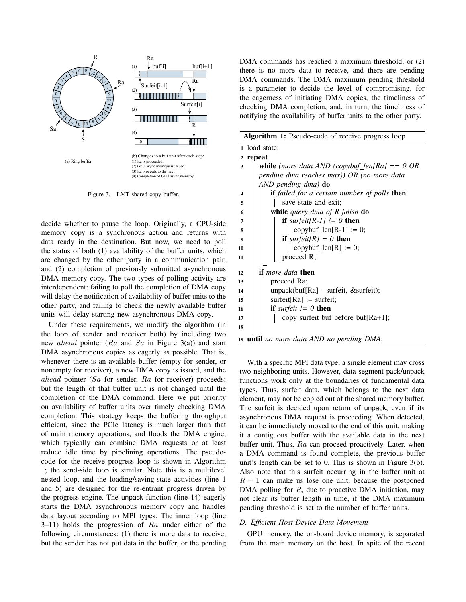

Figure 3. LMT shared copy buffer.

decide whether to pause the loop. Originally, a CPU-side memory copy is a synchronous action and returns with data ready in the destination. But now, we need to poll the status of both (1) availability of the buffer units, which are changed by the other party in a communication pair, and (2) completion of previously submitted asynchronous DMA memory copy. The two types of polling activity are interdependent: failing to poll the completion of DMA copy will delay the notification of availability of buffer units to the other party, and failing to check the newly available buffer units will delay starting new asynchronous DMA copy.

Under these requirements, we modify the algorithm (in the loop of sender and receiver both) by including two new *ahead* pointer ( $Ra$  and  $Sa$  in Figure 3(a)) and start DMA asynchronous copies as eagerly as possible. That is, whenever there is an available buffer (empty for sender, or nonempty for receiver), a new DMA copy is issued, and the ahead pointer (Sa for sender, Ra for receiver) proceeds; but the length of that buffer unit is not changed until the completion of the DMA command. Here we put priority on availability of buffer units over timely checking DMA completion. This strategy keeps the buffering throughput efficient, since the PCIe latency is much larger than that of main memory operations, and floods the DMA engine, which typically can combine DMA requests or at least reduce idle time by pipelining operations. The pseudocode for the receive progress loop is shown in Algorithm 1; the send-side loop is similar. Note this is a multilevel nested loop, and the loading/saving-state activities (line 1 and 5) are designed for the re-entrant progress driven by the progress engine. The unpack function (line 14) eagerly starts the DMA asynchronous memory copy and handles data layout according to MPI types. The inner loop (line  $3-11$ ) holds the progression of Ra under either of the following circumstances: (1) there is more data to receive, but the sender has not put data in the buffer, or the pending DMA commands has reached a maximum threshold; or (2) there is no more data to receive, and there are pending DMA commands. The DMA maximum pending threshold is a parameter to decide the level of compromising, for the eagerness of initiating DMA copies, the timeliness of checking DMA completion, and, in turn, the timeliness of notifying the availability of buffer units to the other party.

| Algorithm 1: Pseudo-code of receive progress loop   |  |
|-----------------------------------------------------|--|
| 1 load state;                                       |  |
| repeat<br>$\mathbf{2}$                              |  |
| while (more data AND (copybuf_len[Ra] == 0 OR<br>3  |  |
| pending dma reaches max)) OR (no more data          |  |
| AND pending dma) do                                 |  |
| if failed for a certain number of polls then<br>4   |  |
| save state and exit;<br>5                           |  |
| while <i>query</i> dma of $R$ finish <b>do</b><br>6 |  |
| if surfeit[R-1] $\prime = 0$ then<br>7              |  |
| copybuf_len[R-1] := 0;<br>8                         |  |
| if surfeit[R] = 0 then<br>9                         |  |
| copybuf_len[R] := 0;<br>10                          |  |
| proceed R;<br>11                                    |  |
| <b>if</b> more data <b>then</b>                     |  |
| 12                                                  |  |
| proceed Ra;<br>13                                   |  |
| unpack(buf[Ra] - surfeit, & surfeit);<br>14         |  |
| $surfeit[Ra] := surfeit;$<br>15                     |  |
| <b>if</b> surfeit $\ell = 0$ then<br>16             |  |
| copy surfeit buf before buf[Ra+1];<br>17            |  |
| 18                                                  |  |
| 19 <b>until</b> no more data AND no pending DMA;    |  |

With a specific MPI data type, a single element may cross two neighboring units. However, data segment pack/unpack functions work only at the boundaries of fundamental data types. Thus, surfeit data, which belongs to the next data element, may not be copied out of the shared memory buffer. The surfeit is decided upon return of unpack, even if its asynchronous DMA request is proceeding. When detected, it can be immediately moved to the end of this unit, making it a contiguous buffer with the available data in the next buffer unit. Thus, Ra can proceed proactively. Later, when a DMA command is found complete, the previous buffer unit's length can be set to 0. This is shown in Figure 3(b). Also note that this surfeit occurring in the buffer unit at  $R - 1$  can make us lose one unit, because the postponed DMA polling for  $R$ , due to proactive DMA initiation, may not clear its buffer length in time, if the DMA maximum pending threshold is set to the number of buffer units.

# *D. Efficient Host-Device Data Movement*

GPU memory, the on-board device memory, is separated from the main memory on the host. In spite of the recent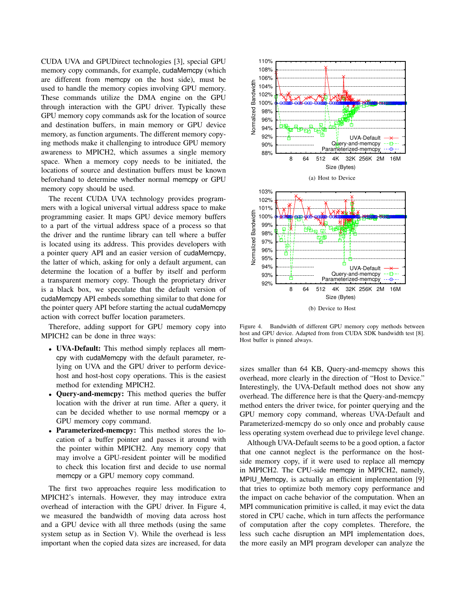CUDA UVA and GPUDirect technologies [3], special GPU memory copy commands, for example, cudaMemcpy (which are different from memcpy on the host side), must be used to handle the memory copies involving GPU memory. These commands utilize the DMA engine on the GPU through interaction with the GPU driver. Typically these GPU memory copy commands ask for the location of source and destination buffers, in main memory or GPU device memory, as function arguments. The different memory copying methods make it challenging to introduce GPU memory awareness to MPICH2, which assumes a single memory space. When a memory copy needs to be initiated, the locations of source and destination buffers must be known beforehand to determine whether normal memcpy or GPU memory copy should be used.

The recent CUDA UVA technology provides programmers with a logical universal virtual address space to make programming easier. It maps GPU device memory buffers to a part of the virtual address space of a process so that the driver and the runtime library can tell where a buffer is located using its address. This provides developers with a pointer query API and an easier version of cudaMemcpy, the latter of which, asking for only a default argument, can determine the location of a buffer by itself and perform a transparent memory copy. Though the proprietary driver is a black box, we speculate that the default version of cudaMemcpy API embeds something similar to that done for the pointer query API before starting the actual cudaMemcpy action with correct buffer location parameters.

Therefore, adding support for GPU memory copy into MPICH2 can be done in three ways:

- UVA-Default: This method simply replaces all memcpy with cudaMemcpy with the default parameter, relying on UVA and the GPU driver to perform devicehost and host-host copy operations. This is the easiest method for extending MPICH2.
- Query-and-memcpy: This method queries the buffer location with the driver at run time. After a query, it can be decided whether to use normal memcpy or a GPU memory copy command.
- Parameterized-memcpy: This method stores the location of a buffer pointer and passes it around with the pointer within MPICH2. Any memory copy that may involve a GPU-resident pointer will be modified to check this location first and decide to use normal memcpy or a GPU memory copy command.

The first two approaches require less modification to MPICH2's internals. However, they may introduce extra overhead of interaction with the GPU driver. In Figure 4, we measured the bandwidth of moving data across host and a GPU device with all three methods (using the same system setup as in Section V). While the overhead is less important when the copied data sizes are increased, for data



Figure 4. Bandwidth of different GPU memory copy methods between host and GPU device. Adapted from from CUDA SDK bandwidth test [8]. Host buffer is pinned always.

sizes smaller than 64 KB, Query-and-memcpy shows this overhead, more clearly in the direction of "Host to Device." Interestingly, the UVA-Default method does not show any overhead. The difference here is that the Query-and-memcpy method enters the driver twice, for pointer querying and the GPU memory copy command, whereas UVA-Default and Parameterized-memcpy do so only once and probably cause less operating system overhead due to privilege level change.

Although UVA-Default seems to be a good option, a factor that one cannot neglect is the performance on the hostside memory copy, if it were used to replace all memcpy in MPICH2. The CPU-side memcpy in MPICH2, namely, MPIU Memcpy, is actually an efficient implementation [9] that tries to optimize both memory copy performance and the impact on cache behavior of the computation. When an MPI communication primitive is called, it may evict the data stored in CPU cache, which in turn affects the performance of computation after the copy completes. Therefore, the less such cache disruption an MPI implementation does, the more easily an MPI program developer can analyze the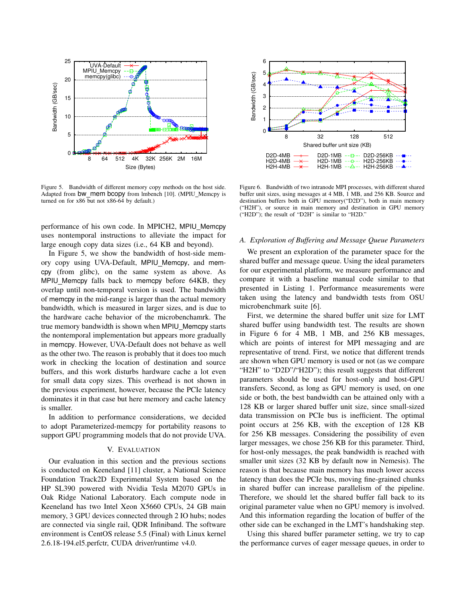

Figure 5. Bandwidth of different memory copy methods on the host side. Adapted from bw\_mem bcopy from lmbench [10]. (MPIU\_Memcpy is turned on for x86 but not x86-64 by default.)

performance of his own code. In MPICH2, MPIU Memcpy uses nontemporal instructions to alleviate the impact for large enough copy data sizes (i.e., 64 KB and beyond).

In Figure 5, we show the bandwidth of host-side memory copy using UVA-Default, MPIU Memcpy, and memcpy (from glibc), on the same system as above. As MPIU Memcpy falls back to memcpy before 64KB, they overlap until non-temporal version is used. The bandwidth of memcpy in the mid-range is larger than the actual memory bandwidth, which is measured in larger sizes, and is due to the hardware cache behavior of the microbenchamrk. The true memory bandwidth is shown when MPIU\_Memcpy starts the nontemporal implementation but appears more gradually in memcpy. However, UVA-Default does not behave as well as the other two. The reason is probably that it does too much work in checking the location of destination and source buffers, and this work disturbs hardware cache a lot even for small data copy sizes. This overhead is not shown in the previous experiment, however, because the PCIe latency dominates it in that case but here memory and cache latency is smaller.

In addition to performance considerations, we decided to adopt Parameterized-memcpy for portability reasons to support GPU programming models that do not provide UVA.

### V. EVALUATION

Our evaluation in this section and the previous sections is conducted on Keeneland [11] cluster, a National Science Foundation Track2D Experimental System based on the HP SL390 powered with Nvidia Tesla M2070 GPUs in Oak Ridge National Laboratory. Each compute node in Keeneland has two Intel Xeon X5660 CPUs, 24 GB main memory, 3 GPU devices connected through 2 IO hubs; nodes are connected via single rail, QDR Infiniband. The software environment is CentOS release 5.5 (Final) with Linux kernel 2.6.18-194.el5.perfctr, CUDA driver/runtime v4.0.



Figure 6. Bandwidth of two intranode MPI processes, with different shared buffer unit sizes, using messages at 4 MB, 1 MB, and 256 KB. Source and destination buffers both in GPU memory("D2D"), both in main memory ("H2H"), or source in main memory and destination in GPU memory ("H2D"); the result of "D2H" is similar to "H2D."

#### *A. Exploration of Buffering and Message Queue Parameters*

We present an exploration of the parameter space for the shared buffer and message queue. Using the ideal parameters for our experimental platform, we measure performance and compare it with a baseline manual code similar to that presented in Listing 1. Performance measurements were taken using the latency and bandwidth tests from OSU microbenchmark suite [6].

First, we determine the shared buffer unit size for LMT shared buffer using bandwidth test. The results are shown in Figure 6 for 4 MB, 1 MB, and 256 KB messages, which are points of interest for MPI messaging and are representative of trend. First, we notice that different trends are shown when GPU memory is used or not (as we compare "H2H" to "D2D"/"H2D"); this result suggests that different parameters should be used for host-only and host-GPU transfers. Second, as long as GPU memory is used, on one side or both, the best bandwidth can be attained only with a 128 KB or larger shared buffer unit size, since small-sized data transmission on PCIe bus is inefficient. The optimal point occurs at 256 KB, with the exception of 128 KB for 256 KB messages. Considering the possibility of even larger messages, we chose 256 KB for this parameter. Third, for host-only messages, the peak bandwidth is reached with smaller unit sizes (32 KB by default now in Nemesis). The reason is that because main memory has much lower access latency than does the PCIe bus, moving fine-grained chunks in shared buffer can increase parallelism of the pipeline. Therefore, we should let the shared buffer fall back to its original parameter value when no GPU memory is involved. And this information regarding the location of buffer of the other side can be exchanged in the LMT's handshaking step.

Using this shared buffer parameter setting, we try to cap the performance curves of eager message queues, in order to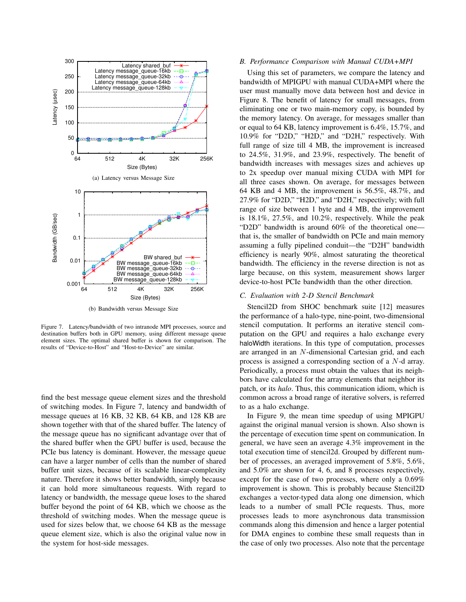

(b) Bandwidth versus Message Size

Figure 7. Latency/bandwidth of two intranode MPI processes, source and destination buffers both in GPU memory, using different message queue element sizes. The optimal shared buffer is shown for comparison. The results of "Device-to-Host" and "Host-to-Device" are similar.

find the best message queue element sizes and the threshold of switching modes. In Figure 7, latency and bandwidth of message queues at 16 KB, 32 KB, 64 KB, and 128 KB are shown together with that of the shared buffer. The latency of the message queue has no significant advantage over that of the shared buffer when the GPU buffer is used, because the PCIe bus latency is dominant. However, the message queue can have a larger number of cells than the number of shared buffer unit sizes, because of its scalable linear-complexity nature. Therefore it shows better bandwidth, simply because it can hold more simultaneous requests. With regard to latency or bandwidth, the message queue loses to the shared buffer beyond the point of 64 KB, which we choose as the threshold of switching modes. When the message queue is used for sizes below that, we choose 64 KB as the message queue element size, which is also the original value now in the system for host-side messages.

#### *B. Performance Comparison with Manual CUDA+MPI*

Using this set of parameters, we compare the latency and bandwidth of MPIGPU with manual CUDA+MPI where the user must manually move data between host and device in Figure 8. The benefit of latency for small messages, from eliminating one or two main-memory copy, is bounded by the memory latency. On average, for messages smaller than or equal to 64 KB, latency improvement is 6.4%, 15.7%, and 10.9% for "D2D," "H2D," and "D2H," respectively. With full range of size till 4 MB, the improvement is increased to 24.5%, 31.9%, and 23.9%, respectively. The benefit of bandwidth increases with messages sizes and achieves up to 2x speedup over manual mixing CUDA with MPI for all three cases shown. On average, for messages between 64 KB and 4 MB, the improvement is 56.5%, 48.7%, and 27.9% for "D2D," "H2D," and "D2H," respectively; with full range of size between 1 byte and 4 MB, the improvement is 18.1%, 27.5%, and 10.2%, respectively. While the peak "D2D" bandwidth is around 60% of the theoretical one that is, the smaller of bandwidth on PCIe and main memory assuming a fully pipelined conduit—the "D2H" bandwidth efficiency is nearly 90%, almost saturating the theoretical bandwidth. The efficiency in the reverse direction is not as large because, on this system, measurement shows larger device-to-host PCIe bandwidth than the other direction.

### *C. Evaluation with 2-D Stencil Benchmark*

Stencil2D from SHOC benchmark suite [12] measures the performance of a halo-type, nine-point, two-dimensional stencil computation. It performs an iterative stencil computation on the GPU and requires a halo exchange every haloWidth iterations. In this type of computation, processes are arranged in an N-dimensional Cartesian grid, and each process is assigned a corresponding section of a N-d array. Periodically, a process must obtain the values that its neighbors have calculated for the array elements that neighbor its patch, or its *halo*. Thus, this communication idiom, which is common across a broad range of iterative solvers, is referred to as a halo exchange.

In Figure 9, the mean time speedup of using MPIGPU against the original manual version is shown. Also shown is the percentage of execution time spent on communication. In general, we have seen an average 4.3% improvement in the total execution time of stencil2d. Grouped by different number of processes, an averaged improvement of 5.8%, 5.6%, and 5.0% are shown for 4, 6, and 8 processes respectively, except for the case of two processes, where only a 0.69% improvement is shown. This is probably because Stencil2D exchanges a vector-typed data along one dimension, which leads to a number of small PCIe requests. Thus, more processes leads to more asynchronous data transmission commands along this dimension and hence a larger potential for DMA engines to combine these small requests than in the case of only two processes. Also note that the percentage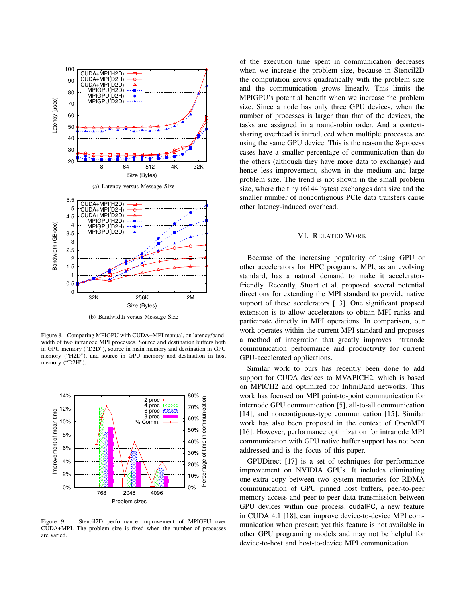

(b) Bandwidth versus Message Size

Figure 8. Comparing MPIGPU with CUDA+MPI manual, on latency/bandwidth of two intranode MPI processes. Source and destination buffers both in GPU memory ("D2D"), source in main memory and destination in GPU memory ("H2D"), and source in GPU memory and destination in host memory ("D2H").



Figure 9. Stencil2D performance improvement of MPIGPU over CUDA+MPI. The problem size is fixed when the number of processes are varied.

of the execution time spent in communication decreases when we increase the problem size, because in Stencil2D the computation grows quadratically with the problem size and the communication grows linearly. This limits the MPIGPU's potential benefit when we increase the problem size. Since a node has only three GPU devices, when the number of processes is larger than that of the devices, the tasks are assigned in a round-robin order. And a contextsharing overhead is introduced when multiple processes are using the same GPU device. This is the reason the 8-process cases have a smaller percentage of communication than do the others (although they have more data to exchange) and hence less improvement, shown in the medium and large problem size. The trend is not shown in the small problem size, where the tiny (6144 bytes) exchanges data size and the smaller number of noncontiguous PCIe data transfers cause other latency-induced overhead.

#### VI. RELATED WORK

Because of the increasing popularity of using GPU or other accelerators for HPC programs, MPI, as an evolving standard, has a natural demand to make it acceleratorfriendly. Recently, Stuart et al. proposed several potential directions for extending the MPI standard to provide native support of these accelerators [13]. One significant propsed extension is to allow accelerators to obtain MPI ranks and participate directly in MPI operations. In comparison, our work operates within the current MPI standard and proposes a method of integration that greatly improves intranode communication performance and productivity for current GPU-accelerated applications.

Similar work to ours has recently been done to add support for CUDA devices to MVAPICH2, which is based on MPICH2 and optimized for InfiniBand networks. This work has focused on MPI point-to-point communication for internode GPU communication [5], all-to-all communication [14], and noncontiguous-type communication [15]. Similar work has also been proposed in the context of OpenMPI [16]. However, performance optimization for intranode MPI communication with GPU native buffer support has not been addressed and is the focus of this paper.

GPUDirect [17] is a set of techniques for performance improvement on NVIDIA GPUs. It includes eliminating one-extra copy between two system memories for RDMA communication of GPU pinned host buffers, peer-to-peer memory access and peer-to-peer data transmission between GPU devices within one process. cudaIPC, a new feature in CUDA 4.1 [18], can improve device-to-device MPI communication when present; yet this feature is not available in other GPU programing models and may not be helpful for device-to-host and host-to-device MPI communication.